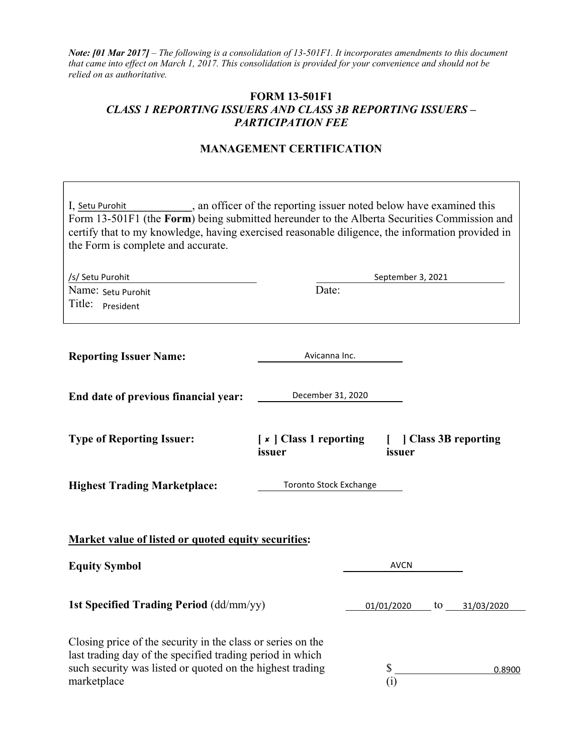Note: [01 Mar 2017] – The following is a consolidation of 13-501F1. It incorporates amendments to this document that came into effect on March 1, 2017. This consolidation is provided for your convenience and should not be relied on as authoritative.

## FORM 13-501F1 CLASS 1 REPORTING ISSUERS AND CLASS 3B REPORTING ISSUERS – PARTICIPATION FEE

## MANAGEMENT CERTIFICATION

| , an officer of the reporting issuer noted below have examined this<br>I, Setu Purohit<br>Form 13-501F1 (the Form) being submitted hereunder to the Alberta Securities Commission and<br>certify that to my knowledge, having exercised reasonable diligence, the information provided in<br>the Form is complete and accurate. |                                                                    |  |                   |    |            |
|---------------------------------------------------------------------------------------------------------------------------------------------------------------------------------------------------------------------------------------------------------------------------------------------------------------------------------|--------------------------------------------------------------------|--|-------------------|----|------------|
| /s/ Setu Purohit                                                                                                                                                                                                                                                                                                                |                                                                    |  |                   |    |            |
| Name: Setu Purohit<br>Title: <b>President</b>                                                                                                                                                                                                                                                                                   | Date:                                                              |  | September 3, 2021 |    |            |
| <b>Reporting Issuer Name:</b>                                                                                                                                                                                                                                                                                                   | Avicanna Inc.                                                      |  |                   |    |            |
| End date of previous financial year:                                                                                                                                                                                                                                                                                            | December 31, 2020                                                  |  |                   |    |            |
| <b>Type of Reporting Issuer:</b>                                                                                                                                                                                                                                                                                                | [x ] Class 1 reporting<br>  Class 3B reporting<br>issuer<br>issuer |  |                   |    |            |
| <b>Highest Trading Marketplace:</b><br>Toronto Stock Exchange                                                                                                                                                                                                                                                                   |                                                                    |  |                   |    |            |
| <b>Market value of listed or quoted equity securities:</b>                                                                                                                                                                                                                                                                      |                                                                    |  |                   |    |            |
| <b>Equity Symbol</b>                                                                                                                                                                                                                                                                                                            |                                                                    |  | <b>AVCN</b>       |    |            |
| 1st Specified Trading Period (dd/mm/yy)                                                                                                                                                                                                                                                                                         |                                                                    |  | 01/01/2020        | to | 31/03/2020 |
| Closing price of the security in the class or series on the<br>last trading day of the specified trading period in which<br>such security was listed or quoted on the highest trading<br>marketplace                                                                                                                            |                                                                    |  | \$<br>(i)         |    | 0.8900     |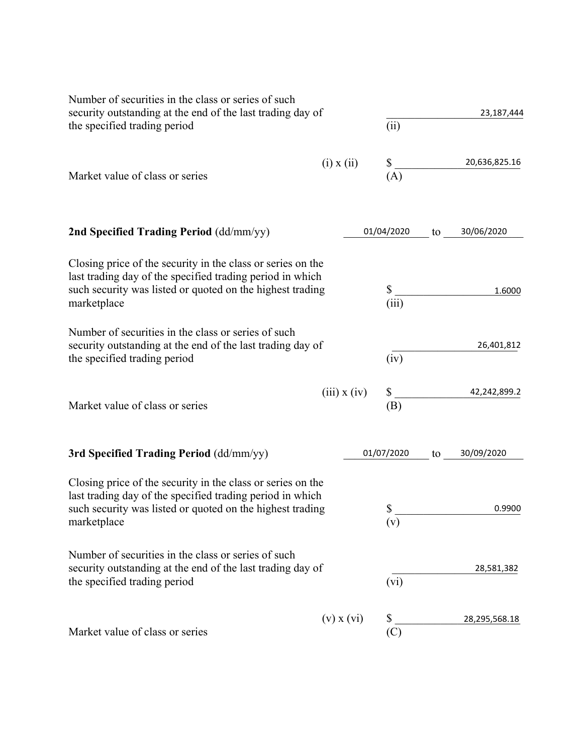| Number of securities in the class or series of such<br>security outstanding at the end of the last trading day of<br>the specified trading period                                                    |                  | (ii)        |    | 23,187,444    |
|------------------------------------------------------------------------------------------------------------------------------------------------------------------------------------------------------|------------------|-------------|----|---------------|
| Market value of class or series                                                                                                                                                                      | $(i)$ x $(ii)$   | \$<br>(A)   |    | 20,636,825.16 |
| 2nd Specified Trading Period (dd/mm/yy)                                                                                                                                                              |                  | 01/04/2020  | to | 30/06/2020    |
| Closing price of the security in the class or series on the<br>last trading day of the specified trading period in which<br>such security was listed or quoted on the highest trading<br>marketplace |                  | \$<br>(iii) |    | 1.6000        |
| Number of securities in the class or series of such<br>security outstanding at the end of the last trading day of<br>the specified trading period                                                    |                  | (iv)        |    | 26,401,812    |
| Market value of class or series                                                                                                                                                                      | $(iii)$ x $(iv)$ | \$<br>(B)   |    | 42,242,899.2  |
| 3rd Specified Trading Period (dd/mm/yy)                                                                                                                                                              |                  | 01/07/2020  | to | 30/09/2020    |
| Closing price of the security in the class or series on the<br>last trading day of the specified trading period in which<br>such security was listed or quoted on the highest trading<br>marketplace |                  | \$<br>(v)   |    | 0.9900        |
| Number of securities in the class or series of such<br>security outstanding at the end of the last trading day of<br>the specified trading period                                                    |                  | (vi)        |    | 28,581,382    |
| Market value of class or series                                                                                                                                                                      | $(v)$ x $(vi)$   | \$<br>(C)   |    | 28,295,568.18 |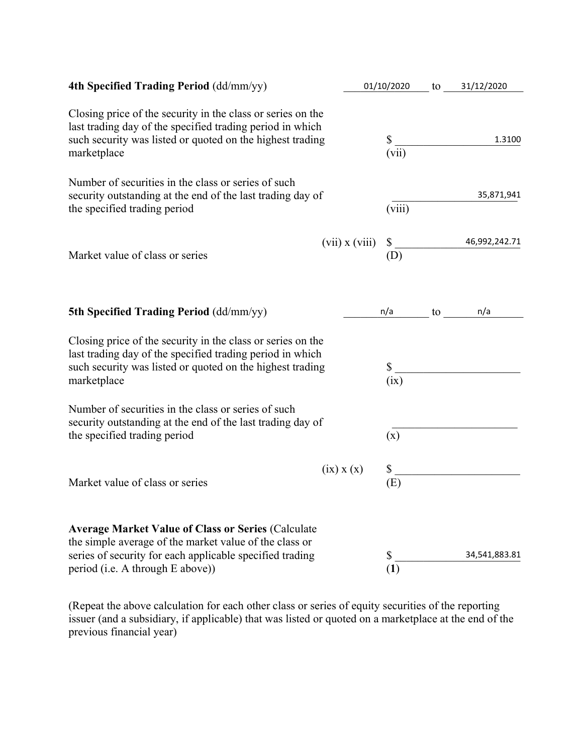| 4th Specified Trading Period (dd/mm/yy)                                                                                                                                                                             |                    | 01/10/2020  | to | 31/12/2020    |
|---------------------------------------------------------------------------------------------------------------------------------------------------------------------------------------------------------------------|--------------------|-------------|----|---------------|
| Closing price of the security in the class or series on the<br>last trading day of the specified trading period in which<br>such security was listed or quoted on the highest trading<br>marketplace                |                    | \$<br>(vii) |    | 1.3100        |
| Number of securities in the class or series of such<br>security outstanding at the end of the last trading day of<br>the specified trading period                                                                   |                    | (viii)      |    | 35,871,941    |
| Market value of class or series                                                                                                                                                                                     | $(vii)$ x $(viii)$ | \$<br>(D)   |    | 46,992,242.71 |
| 5th Specified Trading Period (dd/mm/yy)                                                                                                                                                                             |                    | n/a         | to | n/a           |
| Closing price of the security in the class or series on the<br>last trading day of the specified trading period in which<br>such security was listed or quoted on the highest trading<br>marketplace                |                    | \$<br>(ix)  |    |               |
| Number of securities in the class or series of such<br>security outstanding at the end of the last trading day of<br>the specified trading period                                                                   |                    | (x)         |    |               |
| Market value of class or series                                                                                                                                                                                     | $(ix)$ x $(x)$     | \$<br>(E)   |    |               |
| <b>Average Market Value of Class or Series (Calculate</b><br>the simple average of the market value of the class or<br>series of security for each applicable specified trading<br>period (i.e. A through E above)) |                    | \$<br>(1)   |    | 34,541,883.81 |

(Repeat the above calculation for each other class or series of equity securities of the reporting issuer (and a subsidiary, if applicable) that was listed or quoted on a marketplace at the end of the previous financial year)